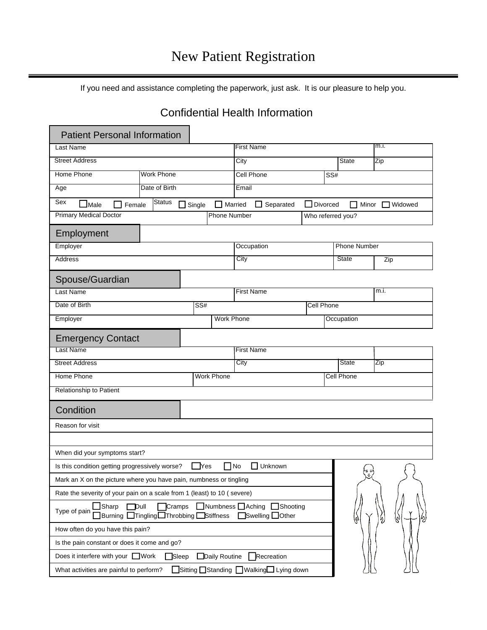If you need and assistance completing the paperwork, just ask. It is our pleasure to help you.

## Confidential Health Information

| <b>Patient Personal Information</b>                                                                                                    |  |                                 |                                     |                   |                      |      |
|----------------------------------------------------------------------------------------------------------------------------------------|--|---------------------------------|-------------------------------------|-------------------|----------------------|------|
| Last Name                                                                                                                              |  |                                 | <b>First Name</b>                   |                   |                      | m.i. |
| <b>Street Address</b>                                                                                                                  |  |                                 | City                                |                   | <b>State</b>         | Zip  |
| Home Phone<br><b>Work Phone</b>                                                                                                        |  | Cell Phone<br>SS#               |                                     |                   |                      |      |
| Date of Birth<br>Age                                                                                                                   |  | Email                           |                                     |                   |                      |      |
| Sex<br>Status<br>$\square$ Male<br>┓<br>Female                                                                                         |  | $\Box$ Married<br>$\Box$ Single | $\Box$ Divorced<br>$\Box$ Separated |                   | Minor $\Box$ Widowed |      |
| <b>Primary Medical Doctor</b>                                                                                                          |  | <b>Phone Number</b>             | Who referred you?                   |                   |                      |      |
| Employment                                                                                                                             |  |                                 |                                     |                   |                      |      |
| Employer                                                                                                                               |  |                                 | Occupation                          |                   | <b>Phone Number</b>  |      |
| <b>Address</b>                                                                                                                         |  |                                 | City                                |                   | <b>State</b>         | Zip  |
| Spouse/Guardian                                                                                                                        |  |                                 |                                     |                   |                      |      |
| Last Name                                                                                                                              |  |                                 | <b>First Name</b>                   |                   |                      | m.i. |
| Date of Birth                                                                                                                          |  | $\overline{\text{SS#}}$         |                                     | <b>Cell Phone</b> |                      |      |
| Employer                                                                                                                               |  |                                 | <b>Work Phone</b>                   |                   | Occupation           |      |
|                                                                                                                                        |  |                                 |                                     |                   |                      |      |
| <b>Emergency Contact</b><br>Last Name                                                                                                  |  |                                 | <b>First Name</b>                   |                   |                      |      |
| <b>Street Address</b>                                                                                                                  |  |                                 | City                                |                   | <b>State</b>         | Zip  |
| <b>Home Phone</b>                                                                                                                      |  | <b>Work Phone</b>               |                                     |                   | Cell Phone           |      |
| Relationship to Patient                                                                                                                |  |                                 |                                     |                   |                      |      |
|                                                                                                                                        |  |                                 |                                     |                   |                      |      |
| Condition                                                                                                                              |  |                                 |                                     |                   |                      |      |
| Reason for visit                                                                                                                       |  |                                 |                                     |                   |                      |      |
|                                                                                                                                        |  |                                 |                                     |                   |                      |      |
| When did your symptoms start?                                                                                                          |  |                                 |                                     |                   |                      |      |
| $\Box$ No<br>$\Box$ Unknown<br>Is this condition getting progressively worse?<br>$\Box$ Yes                                            |  |                                 |                                     |                   |                      |      |
| Mark an X on the picture where you have pain, numbness or tingling                                                                     |  |                                 |                                     |                   |                      |      |
| Rate the severity of your pain on a scale from 1 (least) to 10 (severe)                                                                |  |                                 |                                     |                   |                      |      |
| Numbness Aching Shooting<br>Cramps<br>Sharp<br>$\Box$ Dull<br>Type of pain<br>Burning Tingling Throbbing Stiffness<br>□Swelling □Other |  |                                 |                                     |                   |                      |      |
| How often do you have this pain?                                                                                                       |  |                                 |                                     |                   |                      |      |
| Is the pain constant or does it come and go?                                                                                           |  |                                 |                                     |                   |                      |      |
| Does it interfere with your □Work<br>$\Box$ Sleep<br>Daily Routine<br>Recreation                                                       |  |                                 |                                     |                   |                      |      |
| Sitting □Standing □ Walking□ Lying down<br>What activities are painful to perform?                                                     |  |                                 |                                     |                   |                      |      |